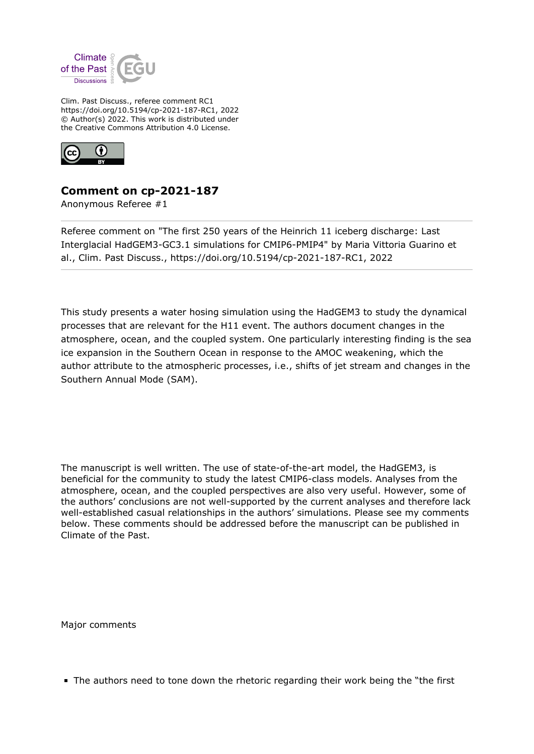

Clim. Past Discuss., referee comment RC1 https://doi.org/10.5194/cp-2021-187-RC1, 2022 © Author(s) 2022. This work is distributed under the Creative Commons Attribution 4.0 License.



## **Comment on cp-2021-187**

Anonymous Referee #1

Referee comment on "The first 250 years of the Heinrich 11 iceberg discharge: Last Interglacial HadGEM3-GC3.1 simulations for CMIP6-PMIP4" by Maria Vittoria Guarino et al., Clim. Past Discuss., https://doi.org/10.5194/cp-2021-187-RC1, 2022

This study presents a water hosing simulation using the HadGEM3 to study the dynamical processes that are relevant for the H11 event. The authors document changes in the atmosphere, ocean, and the coupled system. One particularly interesting finding is the sea ice expansion in the Southern Ocean in response to the AMOC weakening, which the author attribute to the atmospheric processes, i.e., shifts of jet stream and changes in the Southern Annual Mode (SAM).

The manuscript is well written. The use of state-of-the-art model, the HadGEM3, is beneficial for the community to study the latest CMIP6-class models. Analyses from the atmosphere, ocean, and the coupled perspectives are also very useful. However, some of the authors' conclusions are not well-supported by the current analyses and therefore lack well-established casual relationships in the authors' simulations. Please see my comments below. These comments should be addressed before the manuscript can be published in Climate of the Past.

Major comments

The authors need to tone down the rhetoric regarding their work being the "the first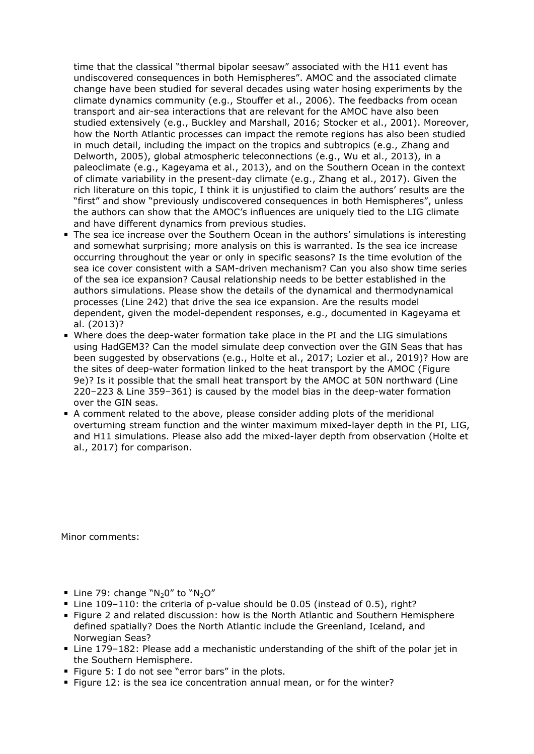time that the classical "thermal bipolar seesaw" associated with the H11 event has undiscovered consequences in both Hemispheres". AMOC and the associated climate change have been studied for several decades using water hosing experiments by the climate dynamics community (e.g., Stouffer et al., 2006). The feedbacks from ocean transport and air-sea interactions that are relevant for the AMOC have also been studied extensively (e.g., Buckley and Marshall, 2016; Stocker et al., 2001). Moreover, how the North Atlantic processes can impact the remote regions has also been studied in much detail, including the impact on the tropics and subtropics (e.g., Zhang and Delworth, 2005), global atmospheric teleconnections (e.g., Wu et al., 2013), in a paleoclimate (e.g., Kageyama et al., 2013), and on the Southern Ocean in the context of climate variability in the present-day climate (e.g., Zhang et al., 2017). Given the rich literature on this topic, I think it is unjustified to claim the authors' results are the "first" and show "previously undiscovered consequences in both Hemispheres", unless the authors can show that the AMOC's influences are uniquely tied to the LIG climate and have different dynamics from previous studies.

- The sea ice increase over the Southern Ocean in the authors' simulations is interesting and somewhat surprising; more analysis on this is warranted. Is the sea ice increase occurring throughout the year or only in specific seasons? Is the time evolution of the sea ice cover consistent with a SAM-driven mechanism? Can you also show time series of the sea ice expansion? Causal relationship needs to be better established in the authors simulations. Please show the details of the dynamical and thermodynamical processes (Line 242) that drive the sea ice expansion. Are the results model dependent, given the model-dependent responses, e.g., documented in Kageyama et al. (2013)?
- Where does the deep-water formation take place in the PI and the LIG simulations using HadGEM3? Can the model simulate deep convection over the GIN Seas that has been suggested by observations (e.g., Holte et al., 2017; Lozier et al., 2019)? How are the sites of deep-water formation linked to the heat transport by the AMOC (Figure 9e)? Is it possible that the small heat transport by the AMOC at 50N northward (Line 220–223 & Line 359–361) is caused by the model bias in the deep-water formation over the GIN seas.
- A comment related to the above, please consider adding plots of the meridional overturning stream function and the winter maximum mixed-layer depth in the PI, LIG, and H11 simulations. Please also add the mixed-layer depth from observation (Holte et al., 2017) for comparison.

Minor comments:

- Line 79: change "N<sub>2</sub>O" to "N<sub>2</sub>O"
- Line 109–110: the criteria of p-value should be 0.05 (instead of 0.5), right?
- Figure 2 and related discussion: how is the North Atlantic and Southern Hemisphere defined spatially? Does the North Atlantic include the Greenland, Iceland, and Norwegian Seas?
- Line 179–182: Please add a mechanistic understanding of the shift of the polar jet in the Southern Hemisphere.
- Figure 5: I do not see "error bars" in the plots.
- Figure 12: is the sea ice concentration annual mean, or for the winter?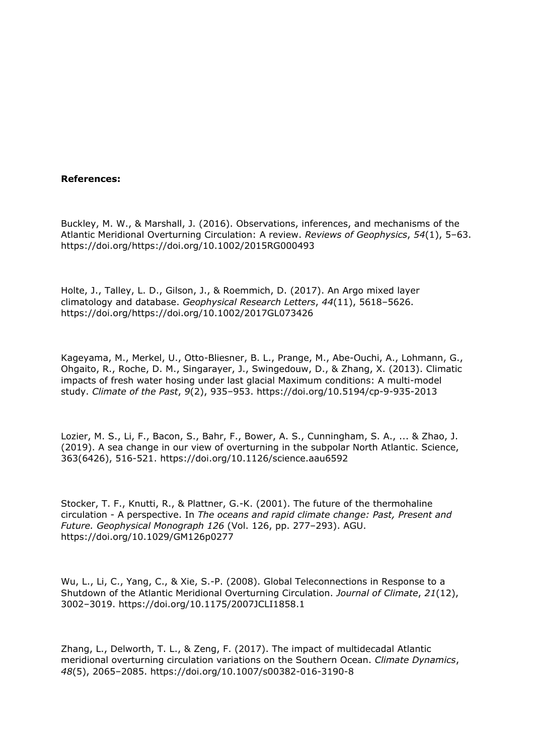## **References:**

Buckley, M. W., & Marshall, J. (2016). Observations, inferences, and mechanisms of the Atlantic Meridional Overturning Circulation: A review. *Reviews of Geophysics*, *54*(1), 5–63. https://doi.org/https://doi.org/10.1002/2015RG000493

Holte, J., Talley, L. D., Gilson, J., & Roemmich, D. (2017). An Argo mixed layer climatology and database. *Geophysical Research Letters*, *44*(11), 5618–5626. https://doi.org/https://doi.org/10.1002/2017GL073426

Kageyama, M., Merkel, U., Otto-Bliesner, B. L., Prange, M., Abe-Ouchi, A., Lohmann, G., Ohgaito, R., Roche, D. M., Singarayer, J., Swingedouw, D., & Zhang, X. (2013). Climatic impacts of fresh water hosing under last glacial Maximum conditions: A multi-model study. *Climate of the Past*, *9*(2), 935–953. https://doi.org/10.5194/cp-9-935-2013

Lozier, M. S., Li, F., Bacon, S., Bahr, F., Bower, A. S., Cunningham, S. A., ... & Zhao, J. (2019). A sea change in our view of overturning in the subpolar North Atlantic. Science, 363(6426), 516-521. https://doi.org/10.1126/science.aau6592

Stocker, T. F., Knutti, R., & Plattner, G.-K. (2001). The future of the thermohaline circulation - A perspective. In *The oceans and rapid climate change: Past, Present and Future. Geophysical Monograph 126* (Vol. 126, pp. 277–293). AGU. https://doi.org/10.1029/GM126p0277

Wu, L., Li, C., Yang, C., & Xie, S.-P. (2008). Global Teleconnections in Response to a Shutdown of the Atlantic Meridional Overturning Circulation. *Journal of Climate*, *21*(12), 3002–3019. https://doi.org/10.1175/2007JCLI1858.1

Zhang, L., Delworth, T. L., & Zeng, F. (2017). The impact of multidecadal Atlantic meridional overturning circulation variations on the Southern Ocean. *Climate Dynamics*, *48*(5), 2065–2085. https://doi.org/10.1007/s00382-016-3190-8